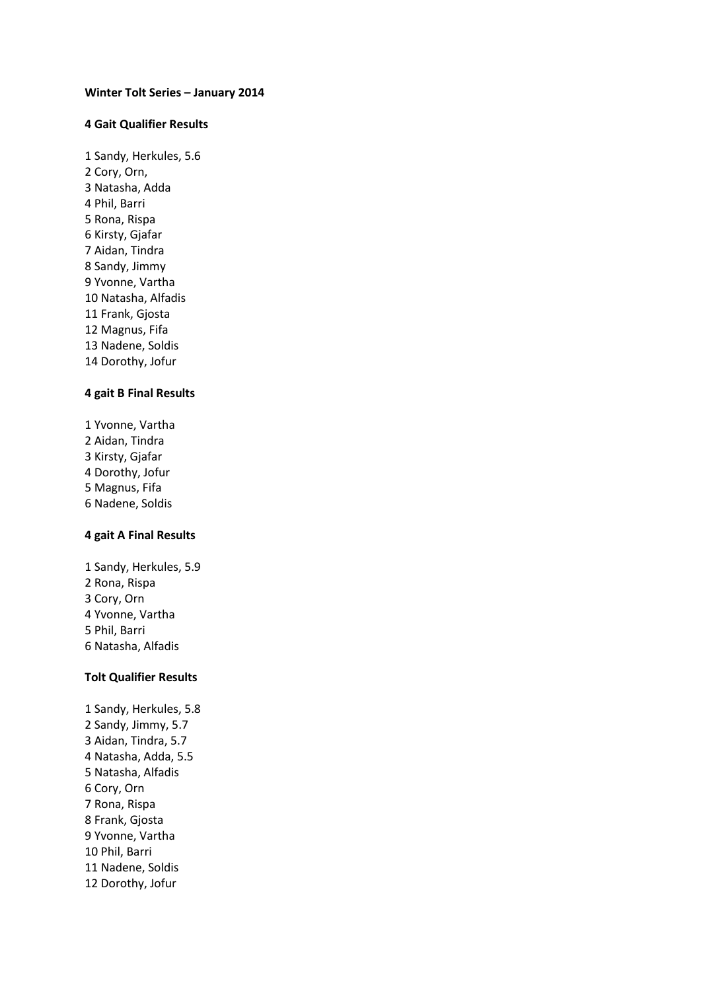#### **Winter Tolt Series – January 2014**

#### **4 Gait Qualifier Results**

1 Sandy, Herkules, 5.6 2 Cory, Orn, 3 Natasha, Adda 4 Phil, Barri 5 Rona, Rispa 6 Kirsty, Gjafar 7 Aidan, Tindra 8 Sandy, Jimmy 9 Yvonne, Vartha 10 Natasha, Alfadis 11 Frank, Gjosta 12 Magnus, Fifa 13 Nadene, Soldis 14 Dorothy, Jofur

## **4 gait B Final Results**

1 Yvonne, Vartha Aidan, Tindra Kirsty, Gjafar Dorothy, Jofur Magnus, Fifa 6 Nadene, Soldis

#### **4 gait A Final Results**

1 Sandy, Herkules, 5.9 Rona, Rispa Cory, Orn Yvonne, Vartha Phil, Barri 6 Natasha, Alfadis

## **Tolt Qualifier Results**

1 Sandy, Herkules, 5.8 2 Sandy, Jimmy, 5.7 3 Aidan, Tindra, 5.7 4 Natasha, Adda, 5.5 5 Natasha, Alfadis 6 Cory, Orn 7 Rona, Rispa 8 Frank, Gjosta 9 Yvonne, Vartha 10 Phil, Barri 11 Nadene, Soldis 12 Dorothy, Jofur